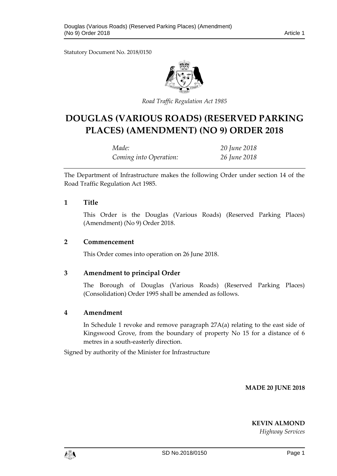Statutory Document No. 2018/0150



*Road Traffic Regulation Act 1985*

# **DOUGLAS (VARIOUS ROADS) (RESERVED PARKING PLACES) (AMENDMENT) (NO 9) ORDER 2018**

| Made:                  | 20 June 2018 |
|------------------------|--------------|
| Coming into Operation: | 26 June 2018 |

The Department of Infrastructure makes the following Order under section 14 of the Road Traffic Regulation Act 1985.

### **1 Title**

This Order is the Douglas (Various Roads) (Reserved Parking Places) (Amendment) (No 9) Order 2018.

#### **2 Commencement**

This Order comes into operation on 26 June 2018.

## **3 Amendment to principal Order**

The Borough of Douglas (Various Roads) (Reserved Parking Places) (Consolidation) Order 1995 shall be amended as follows.

## **4 Amendment**

In Schedule 1 revoke and remove paragraph 27A(a) relating to the east side of Kingswood Grove, from the boundary of property No 15 for a distance of 6 metres in a south-easterly direction.

Signed by authority of the Minister for Infrastructure

**MADE 20 JUNE 2018**

**KEVIN ALMOND**

*Highway Services*